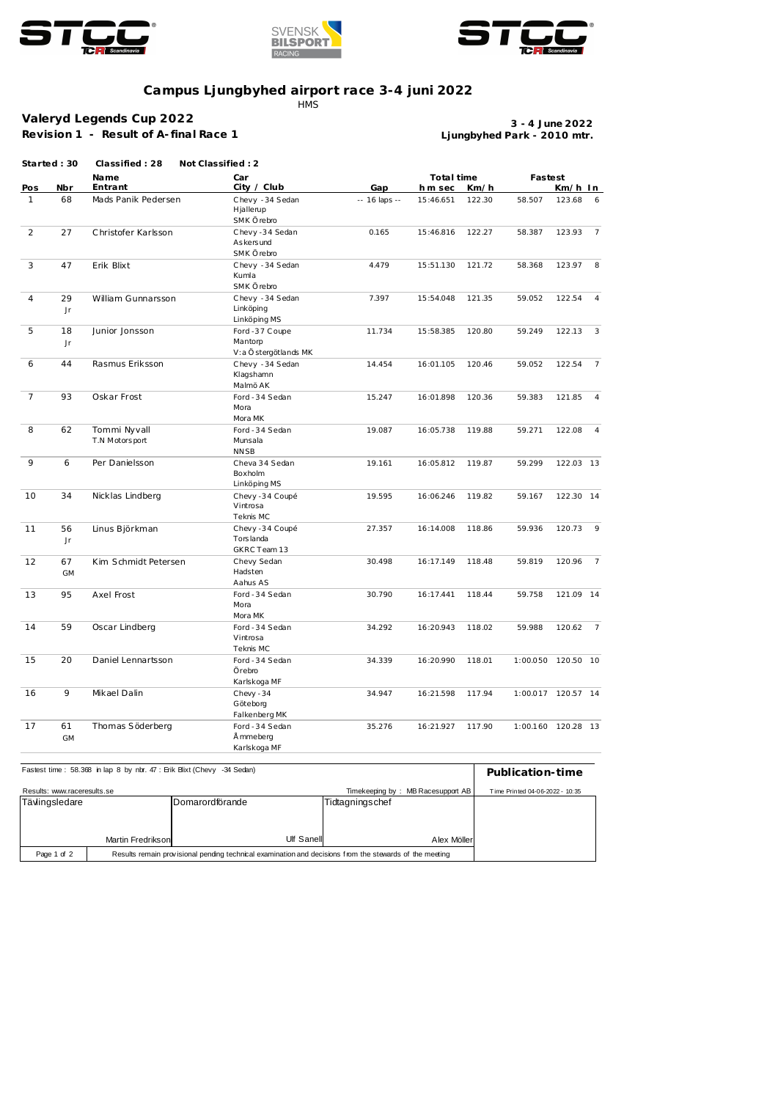





## **Campus Ljungbyhed airport race 3-4 juni 2022**

**HMS** 

## **Valeryd Legends Cup 2022**

**Revision 1 - Result of A- final Race 1**

**Ljungbyhed Park - 2010 mtr. 3 - 4 June 2022**

|                | Started: 30     | Classified: 28                 | Not Classified: 2                                 |               |                              |        |                    |           |                 |
|----------------|-----------------|--------------------------------|---------------------------------------------------|---------------|------------------------------|--------|--------------------|-----------|-----------------|
| Nbr<br>Pos     |                 | Name<br>Entrant                | Car<br>City / Club                                | Gap           | Total time<br>Km/h<br>hm sec |        | Fastest<br>Km/h In |           |                 |
| $\mathbf{1}$   | 68              | Mads Panik Pedersen            | Chevy - 34 Sedan<br>Hjallerup<br>SMK Örebro       | -- 16 laps -- | 15:46.651                    | 122.30 | 58.507             | 123.68    | - 6             |
| 2              | 27              | Christofer Karlsson            | Chevy-34 Sedan<br>As kers und<br>SMK Örebro       | 0.165         | 15:46.816                    | 122.27 | 58.387             | 123.93    | $\overline{7}$  |
| 3              | 47              | Erik Blixt                     | Chevy - 34 Sedan<br>Kumla<br>SMK Örebro           | 4.479         | 15:51.130                    | 121.72 | 58.368             | 123.97    | 8               |
| $\overline{4}$ | 29<br>$\sf Jr$  | William Gunnarsson             | Chevy - 34 Sedan<br>Linköping<br>Linköping MS     | 7.397         | 15:54.048                    | 121.35 | 59.052             | 122.54    | $\overline{4}$  |
| 5              | 18<br>Jr        | Junior Jonsson                 | Ford -37 Coupe<br>Mantorp<br>V:a Östergötlands MK | 11.734        | 15:58.385                    | 120.80 | 59.249             | 122.13    | $\overline{3}$  |
| 6              | 44              | Rasmus Eriksson                | Chevy - 34 Sedan<br>Klagshamn<br>Malmö AK         | 14.454        | 16:01.105                    | 120.46 | 59.052             | 122.54    | 7               |
| $\overline{7}$ | 93              | Oskar Frost                    | Ford - 34 Sedan<br>Mora<br>Mora MK                | 15.247        | 16:01.898                    | 120.36 | 59.383             | 121.85    | $\overline{4}$  |
| 8              | 62              | Tommi Nyvall<br>T.N Motorsport | Ford - 34 Sedan<br>Munsala<br><b>NNSB</b>         | 19.087        | 16:05.738                    | 119.88 | 59.271             | 122.08    | $\overline{4}$  |
| 9              | 6               | Per Danielsson                 | Cheva 34 Sedan<br>Boxholm<br>Linköping MS         | 19.161        | 16:05.812                    | 119.87 | 59.299             | 122.03 13 |                 |
| 10             | 34              | Nicklas Lindberg               | Chevy -34 Coupé<br>Vintrosa<br>Teknis MC          | 19.595        | 16:06.246                    | 119.82 | 59.167             | 122.30 14 |                 |
| 11             | 56<br>Jr        | Linus Björkman                 | Chevy -34 Coupé<br>Tors landa<br>GKRC Team 13     | 27.357        | 16:14.008                    | 118.86 | 59.936             | 120.73    | $\overline{9}$  |
| 12             | 67<br><b>GM</b> | Kim Schmidt Petersen           | Chevy Sedan<br>Hadsten<br>Aahus AS                | 30.498        | 16:17.149                    | 118.48 | 59.819             | 120.96    | $\overline{7}$  |
| 13             | 95              | Axel Frost                     | Ford - 34 Sedan<br>Mora<br>Mora MK                | 30.790        | 16:17.441                    | 118.44 | 59.758             | 121.09 14 |                 |
| 14             | 59              | Oscar Lindberg                 | Ford - 34 Sedan<br>Vintrosa<br>Teknis MC          | 34.292        | 16:20.943                    | 118.02 | 59.988             | 120.62    | $7\overline{ }$ |
| 15             | 20              | Daniel Lennartsson             | Ford - 34 Sedan<br>Örebro<br>Karlskoga MF         | 34.339        | 16:20.990                    | 118.01 | 1:00.050 120.50 10 |           |                 |
| 16             | 9               | Mikael Dalin                   | Chevy $-34$<br>Göteborg<br>Falkenberg MK          | 34.947        | 16:21.598                    | 117.94 | 1:00.017 120.57 14 |           |                 |
| 17             | 61<br><b>GM</b> | Thomas Söderberg               | Ford - 34 Sedan<br>Å mmeberg<br>Karlskoga MF      | 35.276        | 16:21.927                    | 117.90 | 1:00.160 120.28 13 |           |                 |

| Fastest time: 58.368 in lap 8 by nbr. 47: Erik Blixt (Chevy -34 Sedan) | Publication-time                                                                                        |                                   |                                 |  |
|------------------------------------------------------------------------|---------------------------------------------------------------------------------------------------------|-----------------------------------|---------------------------------|--|
| Results: www.raceresults.se                                            |                                                                                                         | Timekeeping by: MB Racesupport AB | Time Printed 04-06-2022 - 10:35 |  |
| Tävlingsledare                                                         |                                                                                                         | lDomarordförande                  | Tidtagningschef                 |  |
|                                                                        |                                                                                                         |                                   |                                 |  |
|                                                                        |                                                                                                         |                                   |                                 |  |
|                                                                        | Martin Fredrikson                                                                                       | Ulf Sanell                        | Alex Möller                     |  |
| Page 1 of 2                                                            | Results remain provisional pending technical examination and decisions from the stewards of the meeting |                                   |                                 |  |